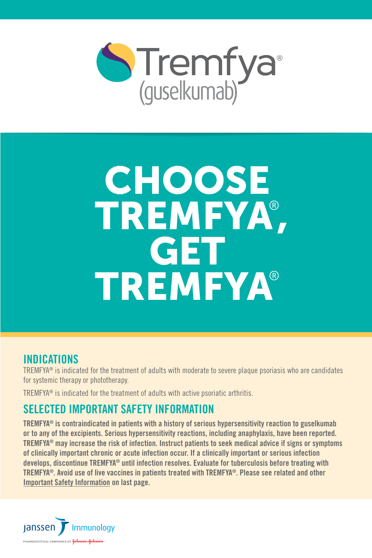

# **CHOOSE**  TREMFYA® , GET TREMFYA®

#### **INDICATIONS**

TREMFYA® is indicated for the treatment of adults with moderate to severe plaque psoriasis who are candidates for systemic therapy or phototherapy.

TREMFYA® is indicated for the treatment of adults with active psoriatic arthritis.

#### SELECTED IMPORTANT SAFETY INFORMATION

TREMFYA® is contraindicated in patients with a history of serious hypersensitivity reaction to guselkumab or to any of the excipients. Serious hypersensitivity reactions, including anaphylaxis, have been reported. TREMFYA® may increase the risk of infection. Instruct patients to seek medical advice if signs or symptoms of clinically important chronic or acute infection occur. If a clinically important or serious infection develops, discontinue TREMFYA® until infection resolves. Evaluate for tuberculosis before treating with TREMFYA®. Avoid use of live vaccines in patients treated with TREMFYA®. Please see related and other [Important Safety Information](#page-3-0) on last page.

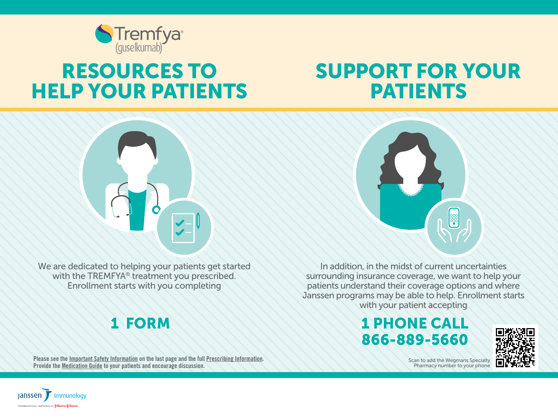

# RESOURCES TO HELP YOUR PATIENTS

# SUPPORT FOR YOUR PATIENTS



We are dedicated to helping your patients get started with the TREMFYA® treatment you prescribed. Enrollment starts with you completing

## 1 FORM

Please see the [Important Safety Information](#page-3-0) on the last page and the full [Prescribing Information.](http://www.janssenlabels.com/package-insert/product-monograph/prescribing-information/TREMFYA-pi.pdf) Provide the [Medication Guide](http://www.janssenlabels.com/package-insert/product-patient-information/TREMFYA-medication-guide.pdf) to your patients and encourage discussion.



In addition, in the midst of current uncertainties surrounding insurance coverage, we want to help your patients understand their coverage options and where Janssen programs may be able to help. Enrollment starts with your patient accepting

### 1 PHONE CALL 1 PHONE CALL 866-889-5660 866-889-5660



Scan to add the Wegmans Specialty Pharmacy number to your phone

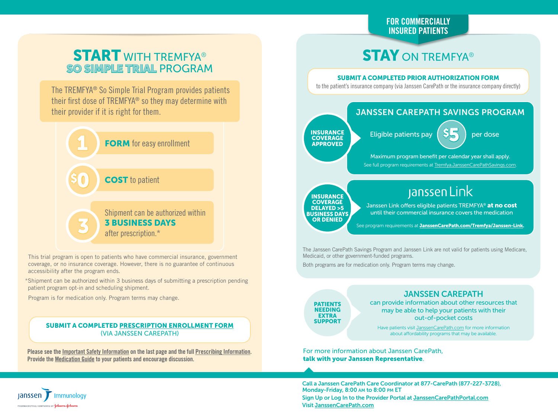#### FOR COMMERCIALLY INSURED PATIENTS

### **START WITH TREMFYA®** SO SIMPLE TRIAL PROGRAM

The TREMFYA® So Simple Trial Program provides patients their first dose of TREMFYA® so they may determine with their provider if it is right for them.



This trial program is open to patients who have commercial insurance, government coverage, or no insurance coverage. However, there is no guarantee of continuous accessibility after the program ends.

\*Shipment can be authorized within 3 business days of submitting a prescription pending patient program opt-in and scheduling shipment.

Program is for medication only. Program terms may change.

#### SUBMIT A COMPLETED [PRESCRIPTION ENROLLMENT FORM](https://www.janssencarepath.com/sites/www.janssencarepath.com/files/tremfya-prescription-information-and-enrollment-form.pdf) (VIA JANSSEN CAREPATH)

Please see the [Important Safety Information](#page-3-0) on the last page and the full [Prescribing Information.](http://www.janssenlabels.com/package-insert/product-monograph/prescribing-information/TREMFYA-pi.pdf) Provide the [Medication Guide](http://www.janssenlabels.com/package-insert/product-patient-information/TREMFYA-medication-guide.pdf) to your patients and encourage discussion.

### **STAY ON TREMFYA®**

#### SUBMIT A COMPLETED PRIOR AUTHORIZATION FORM

to the patient's insurance company (via Janssen CarePath or the insurance company directly)



Janssen Link offers eligible patients TREMFYA<sup>®</sup> at no cost until their commercial insurance covers the medication

See program requirements at [JanssenCarePath.com/Tremfya/Janssen-Link.](http://JanssenCarePath.com/Tremfya/Janssen-Link)

The Janssen CarePath Savings Program and Janssen Link are not valid for patients using Medicare, Medicaid, or other government-funded programs.

Both programs are for medication only. Program terms may change.

#### JANSSEN CAREPATH

**PATIENTS NEEDING** EXTRA SUPPORT

DELAYED >5 BUSINESS DAYS OR DENIED

> can provide information about other resources that may be able to help your patients with their out-of-pocket costs

Have patients visit [JanssenCarePath.com](http://JanssenCarePath.com) for more information about affordability programs that may be available.

For more information about Janssen CarePath, talk with your Janssen Representative.

Call a Janssen CarePath Care Coordinator at 877-CarePath (877-227-3728), Monday-Friday, 8:00 AM to 8:00 PM ET Sign Up or Log In to the Provider Portal at [JanssenCarePathPortal.com](https://www.janssencarepathportal.com/s/login/) Visit [JanssenCarePath.com](https://www.janssencarepath.com/hcp/tremfya)